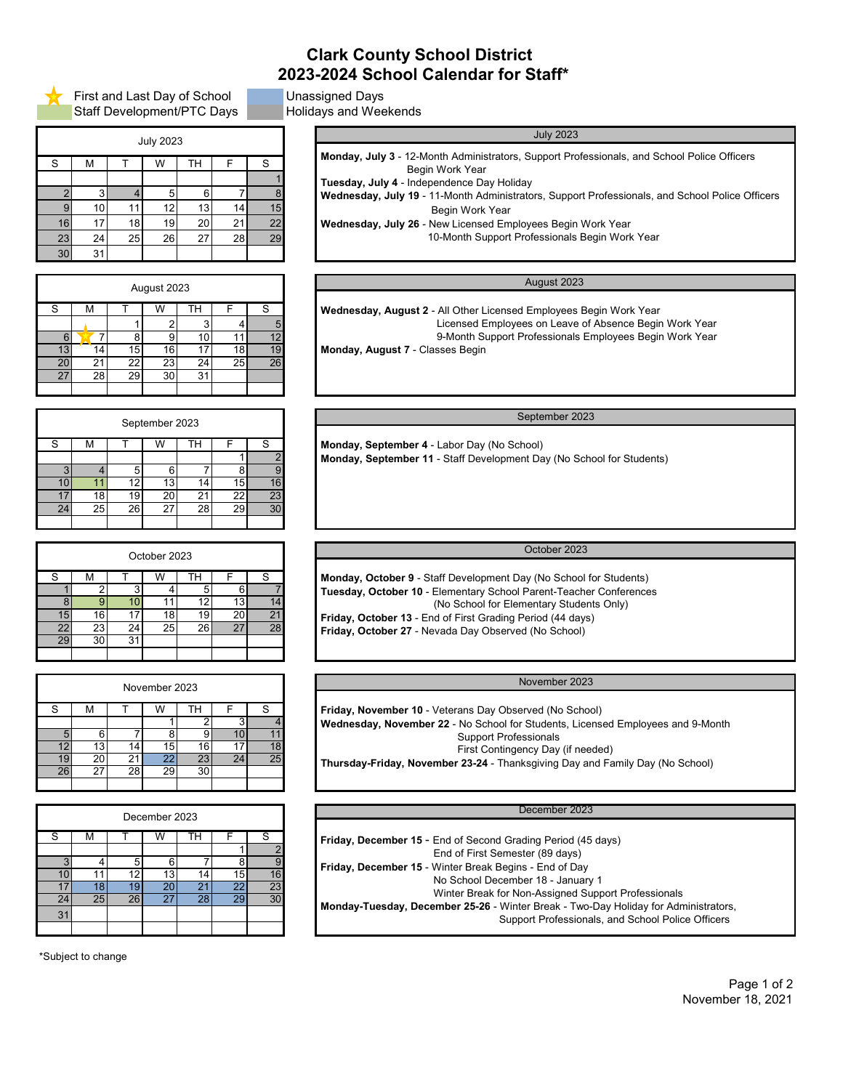First and Last Day of School Unassigned Days Staff Development/PTC Days Holidays and Weekends

# **Clark County School District 2023-2024 School Calendar for Staff\***

| <b>July 2023</b> |    |    |    |    |    |    |  |  |
|------------------|----|----|----|----|----|----|--|--|
| S                | M  |    | W  | TН | F  | S  |  |  |
|                  |    |    |    |    |    |    |  |  |
| $\mathcal{P}$    | 3  |    | 5  | 6  |    | 8  |  |  |
| 9                | 10 | 11 | 12 | 13 | 14 | 15 |  |  |
| 16               | 17 | 18 | 19 | 20 | 21 | 22 |  |  |
| 23               | 24 | 25 | 26 | 27 | 28 | 29 |  |  |
| 30               | 31 |    |    |    |    |    |  |  |

S | M | T | W | TH | F | S 1 2 3 4 5 6 7 7 8 9 10 11 12 13 14 15 16 17 18 19 20 21 22 23 24 25 26 27 28 29 30 31 August 2023 August 2023

| September 2023                                        |    |                 |                 | September 2023  |    |                 |                 |
|-------------------------------------------------------|----|-----------------|-----------------|-----------------|----|-----------------|-----------------|
|                                                       |    |                 |                 |                 |    |                 |                 |
| Monday, September 4 - Labor Day (No School)           | S  |                 | TН              | W               |    | М               | S               |
| Monday, September 11 - Staff Development Day (No Scho |    |                 |                 |                 |    |                 |                 |
|                                                       |    |                 |                 |                 |    |                 |                 |
|                                                       | 16 | 15              | 14 <sub>1</sub> | 131             |    |                 | 10 I            |
|                                                       | 23 |                 | 21              | 20 <sub>1</sub> | 19 | 18 <sup>1</sup> |                 |
|                                                       | 30 | 29 <sub>1</sub> | <b>28</b>       | 27              | 26 | 25              | 24 <sub>1</sub> |
|                                                       |    |                 |                 |                 |    |                 |                 |

| October 2023                                                                                                     |          |                 |           | October 2023    |                 |                 |                 |
|------------------------------------------------------------------------------------------------------------------|----------|-----------------|-----------|-----------------|-----------------|-----------------|-----------------|
| Monday, October 9 - Staff Development Day (No School                                                             |          |                 | TН        | w               |                 | м               | S               |
| Tuesday, October 10 - Elementary School Parent-Teach                                                             |          |                 |           |                 |                 |                 |                 |
| (No School for Elementary Stude                                                                                  | 14<br>21 | 13<br>20 l      | 19        | 18 <sup>l</sup> |                 | 16 <sup>1</sup> | 15 <sup>1</sup> |
| Friday, October 13 - End of First Grading Period (44 day<br>Friday, October 27 - Nevada Day Observed (No School) | 28       | 27 <sub>l</sub> | <b>26</b> | 25 <sub>l</sub> | 24 <sub>l</sub> | 23              | 22 <sub>1</sub> |
|                                                                                                                  |          |                 |           |                 | 31              | 30              | 29              |
|                                                                                                                  |          |                 |           |                 |                 |                 |                 |

| November 2023                                                                          |          |    |                       | November 2023         |    |                       |                 |
|----------------------------------------------------------------------------------------|----------|----|-----------------------|-----------------------|----|-----------------------|-----------------|
| Friday, November 10 - Veterans Day Observed (No Schoor                                 | S        |    | TН                    | W                     |    | М                     | S               |
| Wednesday, November 22 - No School for Students, Lice<br><b>Support Professionals</b>  |          |    |                       |                       |    |                       |                 |
| First Contingency Day (if nee<br>Thursday-Friday, November 23-24 - Thanksgiving Day ar | 18<br>25 | 24 | 16 <sub>1</sub><br>23 | 15<br>22 <sub>1</sub> | 14 | 13 <sub>1</sub><br>20 | 9               |
|                                                                                        |          |    | 30 <sub>l</sub>       | 29                    | 28 | 27                    | 26 <sup>1</sup> |

| December 2023                                                                             |          |     |          | December 2023 |    |          |     |
|-------------------------------------------------------------------------------------------|----------|-----|----------|---------------|----|----------|-----|
| Friday, December 15 - End of Second Grading Period (45<br>End of First Semester (89 days) |          |     | гн       | W             |    | м        |     |
| Friday, December 15 - Winter Break Begins - End of Day<br>No School December 18 - January | 16       | 151 | 14       | 6<br>13       |    |          |     |
| Winter Break for Non-Assigned Su<br>Monday-Tuesday, December 25-26 - Winter Break - Two-  | 23<br>30 | 29  | ر.<br>28 | 201<br>27     | 26 | 18<br>25 | 24  |
| <b>Support Professiona</b>                                                                |          |     |          |               |    |          | 311 |

\*Subject to change

| <b>July 2023</b>                                                                                   |  |  |  |  |  |  |  |
|----------------------------------------------------------------------------------------------------|--|--|--|--|--|--|--|
| <b>Monday, July 3 - 12-Month Administrators, Support Professionals, and School Police Officers</b> |  |  |  |  |  |  |  |
| Begin Work Year                                                                                    |  |  |  |  |  |  |  |
| Tuesday, July 4 - Independence Day Holiday                                                         |  |  |  |  |  |  |  |
| Wednesday, July 19 - 11-Month Administrators, Support Professionals, and School Police Officers    |  |  |  |  |  |  |  |
| Begin Work Year                                                                                    |  |  |  |  |  |  |  |
| <b>Wednesday, July 26 - New Licensed Employees Begin Work Year</b>                                 |  |  |  |  |  |  |  |
| 10-Month Support Professionals Begin Work Year                                                     |  |  |  |  |  |  |  |
|                                                                                                    |  |  |  |  |  |  |  |

 **Wednesday, August 2** - All Other Licensed Employees Begin Work Year Licensed Employees on Leave of Absence Begin Work Year 9-Month Support Professionals Employees Begin Work Year **Monday, August 7** - Classes Begin

 **Monday, September 4** - Labor Day (No School) **Monday, September 11** - Staff Development Day (No School for Students)

**Monday, October 9** - Staff Development Day (No School for Students) **Tuesday, October 10** - Elementary School Parent-Teacher Conferences (No School for Elementary Students Only) **Friday, October 13** - End of First Grading Period (44 days)

 **Friday, November 10** - Veterans Day Observed (No School) **Wednesday, November 22** - No School for Students, Licensed Employees and 9-Month Support Professionals First Contingency Day (if needed) **Thursday-Friday, November 23-24** - Thanksgiving Day and Family Day (No School)

| <b>Friday, December 15 - End of Second Grading Period (45 days)</b>                 |  |
|-------------------------------------------------------------------------------------|--|
| End of First Semester (89 days)                                                     |  |
| <b>Friday, December 15</b> - Winter Break Begins - End of Day                       |  |
| No School December 18 - January 1                                                   |  |
| Winter Break for Non-Assigned Support Professionals                                 |  |
| Monday-Tuesday, December 25-26 - Winter Break - Two-Day Holiday for Administrators, |  |
| Support Professionals, and School Police Officers                                   |  |